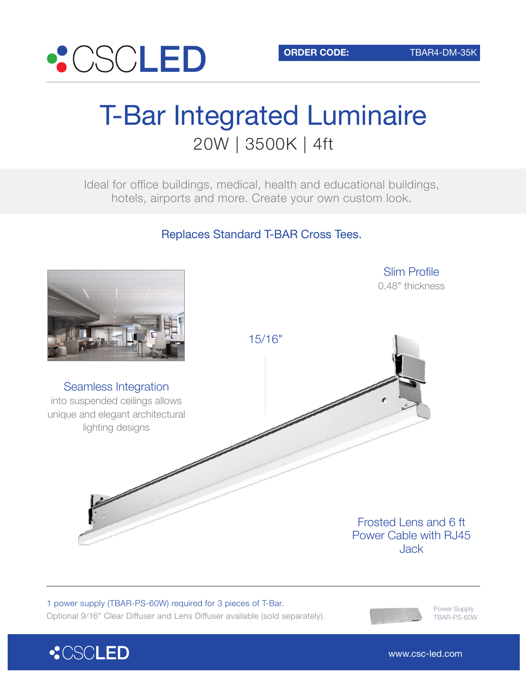

# T-Bar Integrated Luminaire 20W | 3500K | 4ft

Ideal for office buildings, medical, health and educational buildings, hotels, airports and more. Create your own custom look.

Replaces Standard T-BAR Cross Tees.



www.csc-led.com